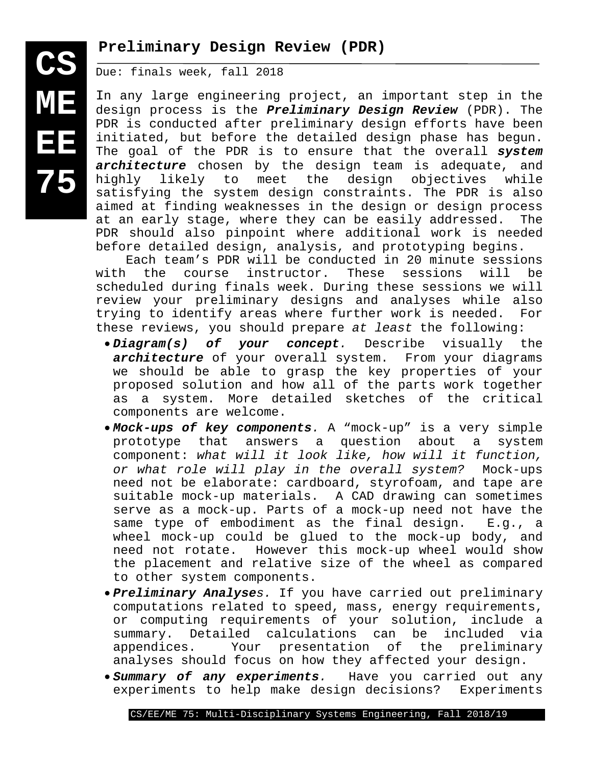## **Preliminary Design Review (PDR)**

Due: finals week, fall 2018

**CS**

**ME**

**EE**

**75**

In any large engineering project, an important step in the design process is the *Preliminary Design Review* (PDR). The PDR is conducted after preliminary design efforts have been initiated, but before the detailed design phase has begun. The goal of the PDR is to ensure that the overall *system architecture* chosen by the design team is adequate, and highly likely to meet the design objectives while satisfying the system design constraints. The PDR is also aimed at finding weaknesses in the design or design process at an early stage, where they can be easily addressed. The PDR should also pinpoint where additional work is needed before detailed design, analysis, and prototyping begins.

Each team's PDR will be conducted in 20 minute sessions<br>with the course instructor. These sessions will be the course instructor. scheduled during finals week. During these sessions we will review your preliminary designs and analyses while also trying to identify areas where further work is needed. For these reviews, you should prepare *at least* the following:

- *Diagram(s) of your concept.* Describe visually the *architecture* of your overall system. From your diagrams we should be able to grasp the key properties of your proposed solution and how all of the parts work together as a system. More detailed sketches of the critical components are welcome.
- *Mock-ups of key components.* A "mock-up" is a very simple prototype that answers a question about a component: *what will it look like, how will it function, or what role will play in the overall system?* Mock-ups need not be elaborate: cardboard, styrofoam, and tape are suitable mock-up materials. A CAD drawing can sometimes serve as a mock-up. Parts of a mock-up need not have the<br>same type of embodiment as the final design. E.g., a same type of embodiment as the final design. wheel mock-up could be glued to the mock-up body, and need not rotate. However this mock-up wheel would show the placement and relative size of the wheel as compared to other system components.
- *Preliminary Analyses.* If you have carried out preliminary computations related to speed, mass, energy requirements, or computing requirements of your solution, include a summary. Detailed calculations can be included via<br>appendices. Your presentation of the preliminary Your presentation of the preliminary analyses should focus on how they affected your design.
- *Summary of any experiments.* Have you carried out any experiments to help make design decisions?